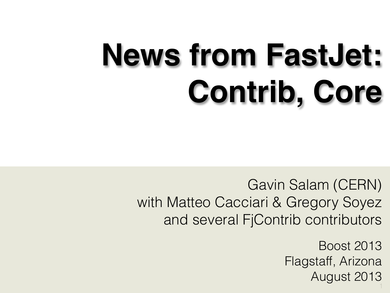## **News from FastJet: Contrib, Core**

Gavin Salam (CERN) with Matteo Cacciari & Gregory Soyez and several FjContrib contributors

> 1 Boost 2013 Flagstaff, Arizona August 2013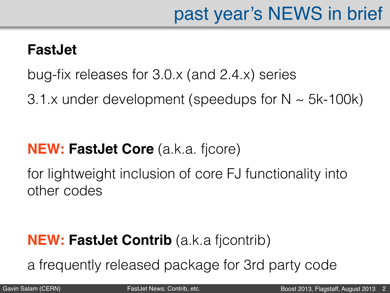#### **FastJet**

bug-fix releases for 3.0.x (and 2.4.x) series

3.1.x under development (speedups for  $N \sim 5k-100k$ )

#### **NEW: FastJet Core** (a.k.a. fjcore)

for lightweight inclusion of core FJ functionality into other codes

#### **NEW: FastJet Contrib** (a.k.a fjcontrib)

a frequently released package for 3rd party code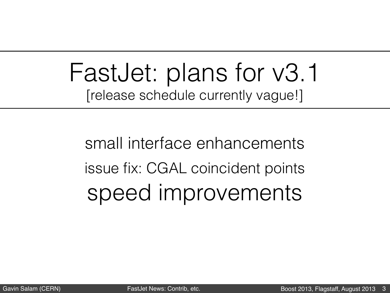## FastJet: plans for v3.1 [release schedule currently vague!]

small interface enhancements issue fix: CGAL coincident points speed improvements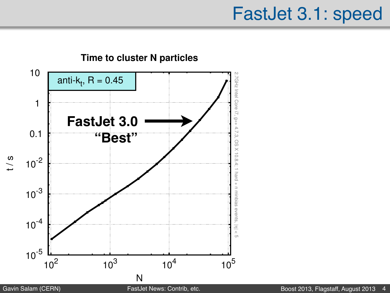#### FastJet 3.1: speed

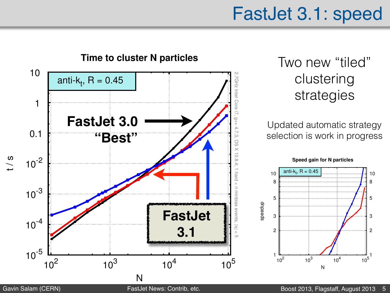### FastJet 3.1: speed



Two new "tiled" clustering strategies

Updated automatic strategy selection is work in progress

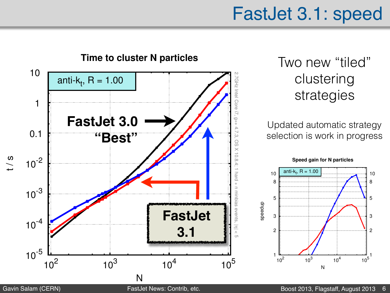### FastJet 3.1: speed



#### Two new "tiled" clustering strategies

#### Updated automatic strategy selection is work in progress

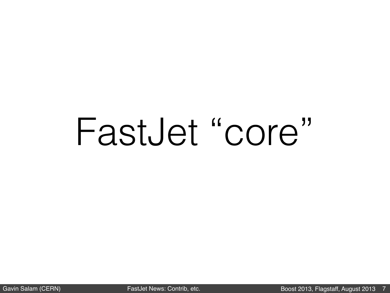## FastJet "core"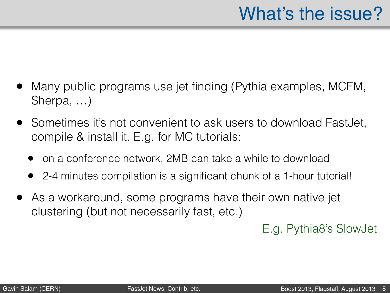- Many public programs use jet finding (Pythia examples, MCFM, Sherpa, …)
- Sometimes it's not convenient to ask users to download FastJet, compile & install it. E.g. for MC tutorials:
	- on a conference network, 2MB can take a while to download
	- 2-4 minutes compilation is a significant chunk of a 1-hour tutorial!
- As a workaround, some programs have their own native jet clustering (but not necessarily fast, etc.)

E.g. Pythia8's SlowJet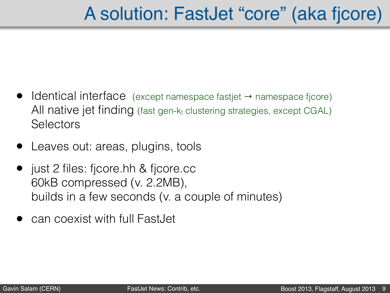## A solution: FastJet "core" (aka fjcore)

- Identical interface (except namespace fastjet → namespace fjcore) All native jet finding (fast gen- $k_t$  clustering strategies, except CGAL) **Selectors**
- Leaves out: areas, plugins, tools
- just 2 files: fjcore.hh & fjcore.cc 60kB compressed (v. 2.2MB), builds in a few seconds (v. a couple of minutes)
- can coexist with full FastJet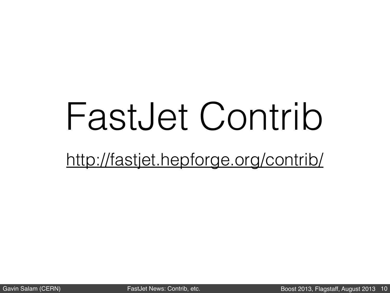## FastJet Contrib

<http://fastjet.hepforge.org/contrib/>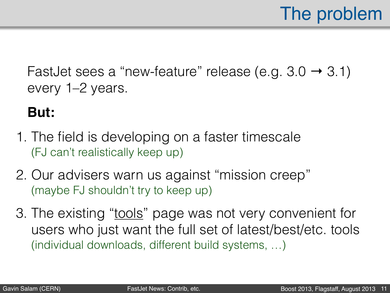FastJet sees a "new-feature" release (e.g.  $3.0 \rightarrow 3.1$ ) every 1–2 years.

#### **But:**

- 1. The field is developing on a faster timescale (FJ can't realistically keep up)
- 2. Our advisers warn us against "mission creep" (maybe FJ shouldn't try to keep up)
- 3. The existing ["tools"](http://fastjet.fr/tools.html) page was not very convenient for users who just want the full set of latest/best/etc. tools (individual downloads, different build systems, …)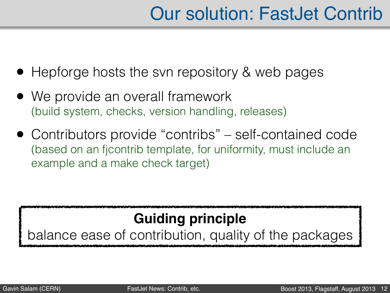## Our solution: FastJet Contrib

- Hepforge hosts the svn repository & web pages
- We provide an overall framework (build system, checks, version handling, releases)
- Contributors provide "contribs" self-contained code (based on an fjcontrib template, for uniformity, must include an example and a make check target)

#### **Guiding principle**

balance ease of contribution, quality of the packages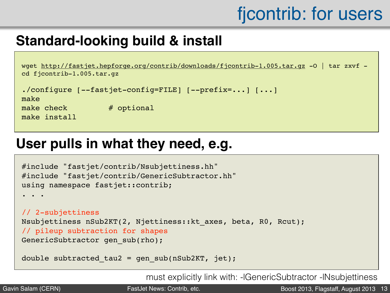## fjcontrib: for users

#### **Standard-looking build & install**

```
wget http://fastjet.hepforge.org/contrib/downloads/fjcontrib-1.005.tar.gz -O | tar zxvf - 
cd fjcontrib-1.005.tar.gz
```

```
./configure [--fastjet-config=FILE] [--prefix=...] [...]
```
make

make install

make  $check$   $#$  optional

#### **User pulls in what they need, e.g.**

```
#include "fastjet/contrib/Nsubjettiness.hh"
#include "fastjet/contrib/GenericSubtractor.hh"
using namespace fastjet::contrib;
. . . 
// 2-subjettiness
Nsubjettiness nSub2KT(2, Njettiness::kt_axes, beta, R0, Rcut);
// pileup subtraction for shapes
GenericSubtractor gen sub(rho);
```

```
double subtracted tau2 = gen sub(nSub2KT, jet);
```
must explicitly link with: -lGenericSubtractor -lNsubjettiness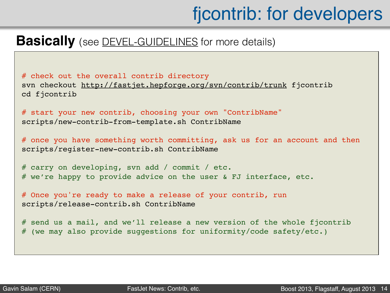## fjcontrib: for developers

#### **Basically** (see **DEVEL-GUIDELINES** for more details)

# check out the overall contrib directory svn checkout<http://fastjet.hepforge.org/svn/contrib/trunk>fjcontrib cd fjcontrib

# start your new contrib, choosing your own "ContribName" scripts/new-contrib-from-template.sh ContribName

# once you have something worth committing, ask us for an account and then scripts/register-new-contrib.sh ContribName

# carry on developing, svn add / commit / etc. # we're happy to provide advice on the user & FJ interface, etc.

# Once you're ready to make a release of your contrib, run scripts/release-contrib.sh ContribName

# send us a mail, and we'll release a new version of the whole fjcontrib # (we may also provide suggestions for uniformity/code safety/etc.)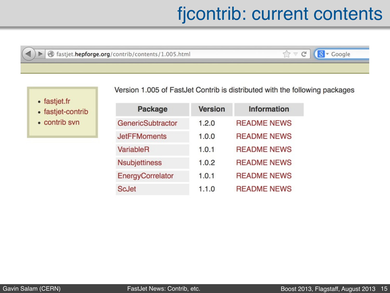## fjcontrib: current contents

☆▼

hastjet.hepforge.org/contrib/contents/1.005.html

 $C$   $8$   $\sim$  Google

• fastjet.fr

D

• fastjet-contrib

• contrib svn

| <b>Package</b>       | <b>Version</b> | <b>Information</b> |
|----------------------|----------------|--------------------|
| GenericSubtractor    | 1.2.0          | <b>README NEWS</b> |
| <b>JetFFMoments</b>  | 1.0.0          | <b>README NEWS</b> |
| VariableR            | 1.0.1          | <b>README NEWS</b> |
| <b>Nsubjettiness</b> | 1.0.2          | <b>README NEWS</b> |
| EnergyCorrelator     | 1.0.1          | <b>README NEWS</b> |
| <b>ScJet</b>         | 1.1.0          | <b>README NEWS</b> |

Version 1.005 of FastJet Contrib is distributed with the following packages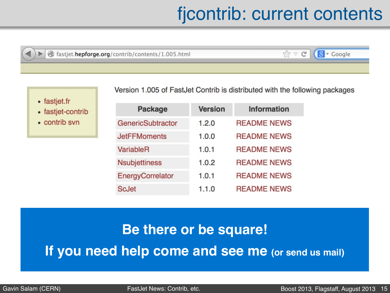## fjcontrib: current contents

 $\bigwedge$ 

 $\bigtriangledown$ 

lastjet.hepforge.org/contrib/contents/1.005.html

 $8 - Google$  $C^{\perp}$ 

• fastjet.fr

• fastjet-contrib

• contrib svn

Package **Information Version** 

Version 1.005 of FastJet Contrib is distributed with the following packages

| GenericSubtractor    | 1.2.0 | <b>README NEWS</b> |
|----------------------|-------|--------------------|
| <b>JetFFMoments</b>  | 1.0.0 | <b>README NEWS</b> |
| <b>VariableR</b>     | 1.0.1 | <b>README NEWS</b> |
| <b>Nsubjettiness</b> | 1.0.2 | <b>README NEWS</b> |
| EnergyCorrelator     | 1.0.1 | <b>README NEWS</b> |
| <b>ScJet</b>         | 1.1.0 | <b>README NEWS</b> |

#### **Be there or be square! If you need help come and see me (or send us mail)**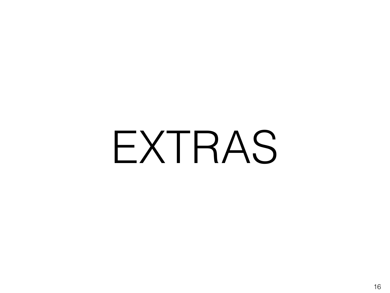# EXTRAS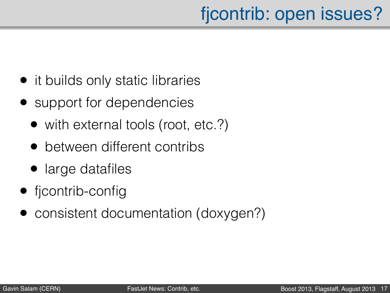## fjcontrib: open issues?

- it builds only static libraries
- support for dependencies
	- with external tools (root, etc.?)
	- between different contribs
	- large datafiles
- ficontrib-config
- consistent documentation (doxygen?)